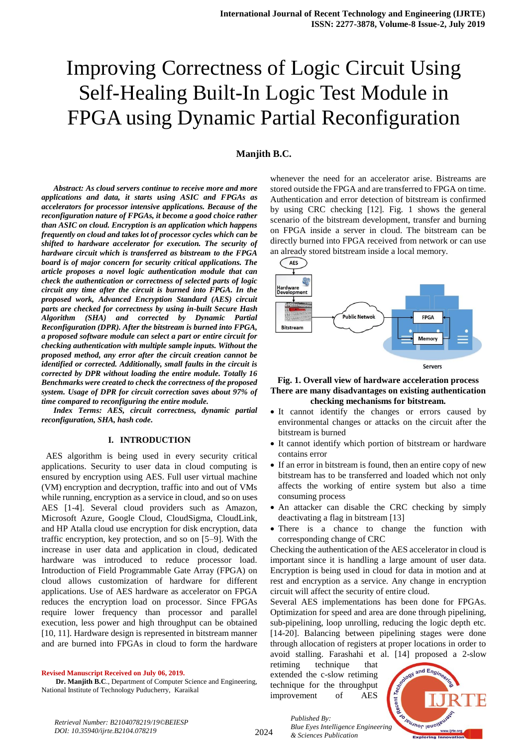## **Manjith B.C.**

*Abstract: As cloud servers continue to receive more and more applications and data, it starts using ASIC and FPGAs as accelerators for processor intensive applications. Because of the reconfiguration nature of FPGAs, it become a good choice rather than ASIC on cloud. Encryption is an application which happens frequently on cloud and takes lot of processor cycles which can be shifted to hardware accelerator for execution. The security of hardware circuit which is transferred as bitstream to the FPGA board is of major concern for security critical applications. The article proposes a novel logic authentication module that can check the authentication or correctness of selected parts of logic circuit any time after the circuit is burned into FPGA. In the proposed work, Advanced Encryption Standard (AES) circuit parts are checked for correctness by using in-built Secure Hash Algorithm (SHA) and corrected by Dynamic Partial Reconfiguration (DPR). After the bitstream is burned into FPGA, a proposed software module can select a part or entire circuit for checking authentication with multiple sample inputs. Without the proposed method, any error after the circuit creation cannot be identified or corrected. Additionally, small faults in the circuit is corrected by DPR without loading the entire module. Totally 16 Benchmarks were created to check the correctness of the proposed system. Usage of DPR for circuit correction saves about 97% of time compared to reconfiguring the entire module.*

*Index Terms: AES, circuit correctness, dynamic partial reconfiguration, SHA, hash code.* 

#### **I. INTRODUCTION**

 AES algorithm is being used in every security critical applications. Security to user data in cloud computing is ensured by encryption using AES. Full user virtual machine (VM) encryption and decryption, traffic into and out of VMs while running, encryption as a service in cloud, and so on uses AES [1-4]. Several cloud providers such as Amazon, Microsoft Azure, Google Cloud, CloudSigma, CloudLink, and HP Atalla cloud use encryption for disk encryption, data traffic encryption, key protection, and so on [5–9]. With the increase in user data and application in cloud, dedicated hardware was introduced to reduce processor load. Introduction of Field Programmable Gate Array (FPGA) on cloud allows customization of hardware for different applications. Use of AES hardware as accelerator on FPGA reduces the encryption load on processor. Since FPGAs require lower frequency than processor and parallel execution, less power and high throughput can be obtained [10, 11]. Hardware design is represented in bitstream manner and are burned into FPGAs in cloud to form the hardware

**Revised Manuscript Received on July 06, 2019.**

**Dr. Manjith B.C**., Department of Computer Science and Engineering, National Institute of Technology Puducherry, Karaikal

whenever the need for an accelerator arise. Bistreams are stored outside the FPGA and are transferred to FPGA on time. Authentication and error detection of bitstream is confirmed by using CRC checking [12]. Fig. 1 shows the general scenario of the bitstream development, transfer and burning on FPGA inside a server in cloud. The bitstream can be directly burned into FPGA received from network or can use an already stored bitstream inside a local memory.



#### **Fig. 1. Overall view of hardware acceleration process There are many disadvantages on existing authentication checking mechanisms for bitstream.**

- It cannot identify the changes or errors caused by environmental changes or attacks on the circuit after the bitstream is burned
- It cannot identify which portion of bitstream or hardware contains error
- If an error in bitstream is found, then an entire copy of new bitstream has to be transferred and loaded which not only affects the working of entire system but also a time consuming process
- An attacker can disable the CRC checking by simply deactivating a flag in bitstream [13]
- There is a chance to change the function with corresponding change of CRC

Checking the authentication of the AES accelerator in cloud is important since it is handling a large amount of user data. Encryption is being used in cloud for data in motion and at rest and encryption as a service. Any change in encryption circuit will affect the security of entire cloud.

Several AES implementations has been done for FPGAs. Optimization for speed and area are done through pipelining, sub-pipelining, loop unrolling, reducing the logic depth etc. [14-20]. Balancing between pipelining stages were done through allocation of registers at proper locations in order to avoid stalling. Farashahi et al. [14] proposed a 2-slow

retiming technique that extended the c-slow retiming technique for the throughput improvement of AES



*Retrieval Number: B2104078219/19©BEIESP DOI: 10.35940/ijrte.B2104.078219*

*Published By: Blue Eyes Intelligence Engineering & Sciences Publication*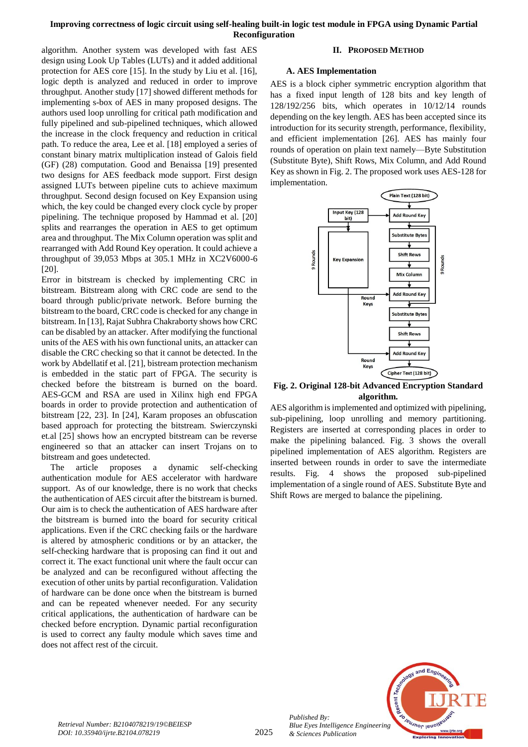algorithm. Another system was developed with fast AES design using Look Up Tables (LUTs) and it added additional protection for AES core [15]. In the study by Liu et al. [16], logic depth is analyzed and reduced in order to improve throughput. Another study [17] showed different methods for implementing s-box of AES in many proposed designs. The authors used loop unrolling for critical path modification and fully pipelined and sub-pipelined techniques, which allowed the increase in the clock frequency and reduction in critical path. To reduce the area, Lee et al. [18] employed a series of constant binary matrix multiplication instead of Galois field (GF) (28) computation. Good and Benaissa [19] presented two designs for AES feedback mode support. First design assigned LUTs between pipeline cuts to achieve maximum throughput. Second design focused on Key Expansion using which, the key could be changed every clock cycle by proper pipelining. The technique proposed by Hammad et al. [20] splits and rearranges the operation in AES to get optimum area and throughput. The Mix Column operation was split and rearranged with Add Round Key operation. It could achieve a throughput of 39,053 Mbps at 305.1 MHz in XC2V6000-6 [20].

Error in bitstream is checked by implementing CRC in bitstream. Bitstream along with CRC code are send to the board through public/private network. Before burning the bitstream to the board, CRC code is checked for any change in bitstream. In [13], Rajat Subhra Chakraborty shows how CRC can be disabled by an attacker. After modifying the functional units of the AES with his own functional units, an attacker can disable the CRC checking so that it cannot be detected. In the work by Abdellatif et al. [21], bistream protection mechanism is embedded in the static part of FPGA. The security is checked before the bitstream is burned on the board. AES-GCM and RSA are used in Xilinx high end FPGA boards in order to provide protection and authentication of bitstream [22, 23]. In [24], Karam proposes an obfuscation based approach for protecting the bitstream. Swierczynski et.al [25] shows how an encrypted bitstream can be reverse engineered so that an attacker can insert Trojans on to bitstream and goes undetected.

The article proposes a dynamic self-checking authentication module for AES accelerator with hardware support. As of our knowledge, there is no work that checks the authentication of AES circuit after the bitstream is burned. Our aim is to check the authentication of AES hardware after the bitstream is burned into the board for security critical applications. Even if the CRC checking fails or the hardware is altered by atmospheric conditions or by an attacker, the self-checking hardware that is proposing can find it out and correct it. The exact functional unit where the fault occur can be analyzed and can be reconfigured without affecting the execution of other units by partial reconfiguration. Validation of hardware can be done once when the bitstream is burned and can be repeated whenever needed. For any security critical applications, the authentication of hardware can be checked before encryption. Dynamic partial reconfiguration is used to correct any faulty module which saves time and does not affect rest of the circuit.

## **II. PROPOSED METHOD**

#### **A. AES Implementation**

AES is a block cipher symmetric encryption algorithm that has a fixed input length of 128 bits and key length of 128/192/256 bits, which operates in 10/12/14 rounds depending on the key length. AES has been accepted since its introduction for its security strength, performance, flexibility, and efficient implementation [26]. AES has mainly four rounds of operation on plain text namely—Byte Substitution (Substitute Byte), Shift Rows, Mix Column, and Add Round Key as shown in Fig. 2. The proposed work uses AES-128 for implementation.



#### **Fig. 2. Original 128-bit Advanced Encryption Standard algorithm.**

AES algorithm is implemented and optimized with pipelining, sub-pipelining, loop unrolling and memory partitioning. Registers are inserted at corresponding places in order to make the pipelining balanced. Fig. 3 shows the overall pipelined implementation of AES algorithm. Registers are inserted between rounds in order to save the intermediate results. Fig. 4 shows the proposed sub-pipelined implementation of a single round of AES. Substitute Byte and Shift Rows are merged to balance the pipelining.



*Published By: Blue Eyes Intelligence Engineering & Sciences Publication*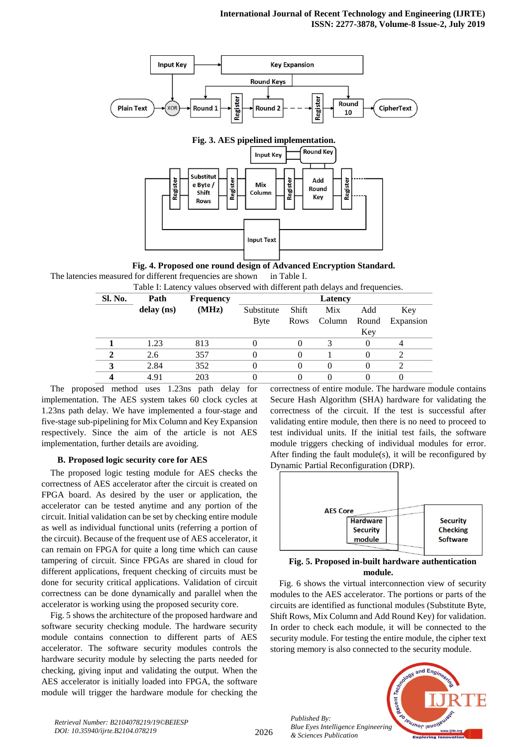

**Fig. 4. Proposed one round design of Advanced Encryption Standard.** The latencies measured for different frequencies are shown in Table I. Table I: Latency values observed with different path delays and frequencies.

| Sl. No. | Path       | <b>Frequency</b> |             |       | Latency | $\overline{\phantom{a}}$ |           |
|---------|------------|------------------|-------------|-------|---------|--------------------------|-----------|
|         | delay (ns) | (MHz)            | Substitute  | Shift | Mix     | Add                      | Key       |
|         |            |                  | <b>Byte</b> | Rows  | Column  | Round                    | Expansion |
|         |            |                  |             |       |         | Key                      |           |
|         | 1.23       | 813              |             |       |         |                          |           |
|         | 2.6        | 357              |             |       |         |                          |           |
|         | 2.84       | 352              |             |       |         |                          |           |
|         | 4.91       | 203              |             |       |         |                          |           |

The proposed method uses 1.23ns path delay for implementation. The AES system takes 60 clock cycles at 1.23ns path delay. We have implemented a four-stage and five-stage sub-pipelining for Mix Column and Key Expansion respectively. Since the aim of the article is not AES implementation, further details are avoiding.

#### **B. Proposed logic security core for AES**

The proposed logic testing module for AES checks the correctness of AES accelerator after the circuit is created on FPGA board. As desired by the user or application, the accelerator can be tested anytime and any portion of the circuit. Initial validation can be set by checking entire module as well as individual functional units (referring a portion of the circuit). Because of the frequent use of AES accelerator, it can remain on FPGA for quite a long time which can cause tampering of circuit. Since FPGAs are shared in cloud for different applications, frequent checking of circuits must be done for security critical applications. Validation of circuit correctness can be done dynamically and parallel when the accelerator is working using the proposed security core.

Fig. 5 shows the architecture of the proposed hardware and software security checking module. The hardware security module contains connection to different parts of AES accelerator. The software security modules controls the hardware security module by selecting the parts needed for checking, giving input and validating the output. When the AES accelerator is initially loaded into FPGA, the software module will trigger the hardware module for checking the

correctness of entire module. The hardware module contains Secure Hash Algorithm (SHA) hardware for validating the correctness of the circuit. If the test is successful after validating entire module, then there is no need to proceed to test individual units. If the initial test fails, the software module triggers checking of individual modules for error. After finding the fault module(s), it will be reconfigured by Dynamic Partial Reconfiguration (DRP).



## **Fig. 5. Proposed in-built hardware authentication module.**

Fig. 6 shows the virtual interconnection view of security modules to the AES accelerator. The portions or parts of the circuits are identified as functional modules (Substitute Byte, Shift Rows, Mix Column and Add Round Key) for validation. In order to check each module, it will be connected to the security module. For testing the entire module, the cipher text storing memory is also connected to the security module.



*Published By:*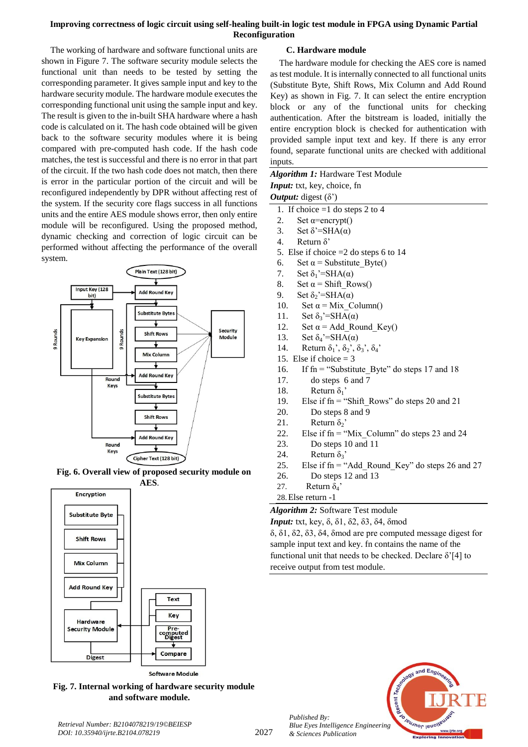The working of hardware and software functional units are shown in Figure 7. The software security module selects the functional unit than needs to be tested by setting the corresponding parameter. It gives sample input and key to the hardware security module. The hardware module executes the corresponding functional unit using the sample input and key. The result is given to the in-built SHA hardware where a hash code is calculated on it. The hash code obtained will be given back to the software security modules where it is being compared with pre-computed hash code. If the hash code matches, the test is successful and there is no error in that part of the circuit. If the two hash code does not match, then there is error in the particular portion of the circuit and will be reconfigured independently by DPR without affecting rest of the system. If the security core flags success in all functions units and the entire AES module shows error, then only entire module will be reconfigured. Using the proposed method, dynamic checking and correction of logic circuit can be performed without affecting the performance of the overall system.



**Fig. 6. Overall view of proposed security module on AES**.



**Software Module** 

**Fig. 7. Internal working of hardware security module and software module.**

## **C. Hardware module**

The hardware module for checking the AES core is named as test module. It is internally connected to all functional units (Substitute Byte, Shift Rows, Mix Column and Add Round Key) as shown in Fig. 7. It can select the entire encryption block or any of the functional units for checking authentication. After the bitstream is loaded, initially the entire encryption block is checked for authentication with provided sample input text and key. If there is any error found, separate functional units are checked with additional inputs.

## *Algorithm 1:* Hardware Test Module *Input:* txt, key, choice, fn *Output:* digest (δ')

- 1. If choice =1 do steps 2 to 4
- 2. Set  $\alpha$ =encrypt()
- 3. Set  $\delta$ '=SHA( $\alpha$ )
- 4. Return δ'
- 5. Else if choice =2 do steps 6 to 14
- 6. Set  $\alpha$  = Substitute Byte()
- 7. Set  $\delta_1$ '=SHA( $\alpha$ )
- 8. Set  $\alpha$  = Shift\_Rows()
- 9. Set  $\delta_2$ '=SHA( $\alpha$ )
- 10. Set  $\alpha$  = Mix Column()
- 11. Set  $\delta_3$ '=SHA( $\alpha$ )
- 12. Set  $\alpha$  = Add\_Round\_Key()
- 13. Set  $\delta_4$ '=SHA( $\alpha$ )
- 14. Return  $\delta_1$ ',  $\delta_2$ ',  $\delta_3$ ',  $\delta_4$ '
- 15. Else if choice  $=$  3
- 16. If fn = "Substitute\_Byte" do steps 17 and 18
- 17. do steps 6 and 7
- 18. Return  $\delta_1$ '
- 19. Else if fn = "Shift\_Rows" do steps 20 and 21
- 20. Do steps 8 and 9
- 21. Return  $\delta_2$ <sup>'</sup>
- 22. Else if  $fn = "Mix Column"$  do steps 23 and 24
- 23. Do steps 10 and 11
- 24. Return  $\delta_3$ <sup>'</sup>
- 25. Else if  $fn = "Add Round Key"$  do steps 26 and 27
- 26. Do steps 12 and 13
- 27. Return  $\delta_4$ '

*Published By:*

*& Sciences Publication* 

28.Else return -1

*Algorithm 2:* Software Test module

*Input:* txt, key, δ, δ1, δ2, δ3, δ4, δmod δ, δ1, δ2, δ3, δ4, δmod are pre computed message digest for sample input text and key. fn contains the name of the functional unit that needs to be checked. Declare  $\delta$ <sup>'</sup>[4] to receive output from test module.

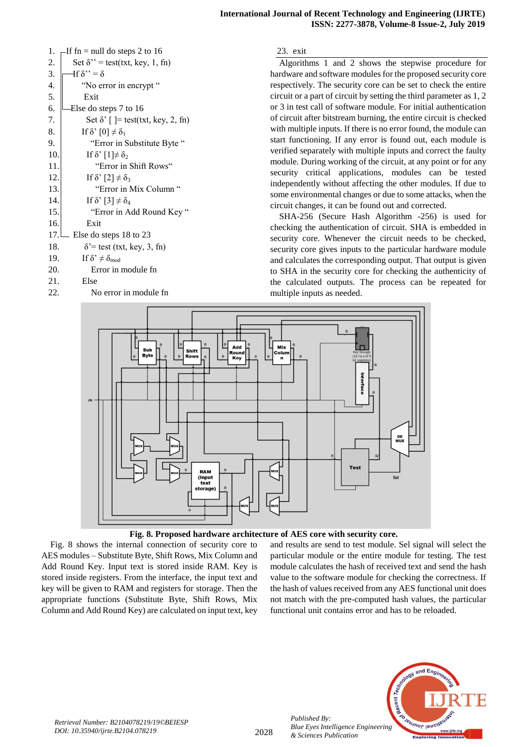| 1.   | If $fn = null$ do steps 2 to 16                |
|------|------------------------------------------------|
| 2.   | Set $\delta$ " = test(txt, key, 1, fn)         |
| 3.   | $\exists f \delta" = \delta$                   |
| 4.   | "No error in encrypt"                          |
| 5.   | Exit                                           |
| 6.   | Else do steps 7 to 16                          |
| 7.   | Set $\delta'$ $\lceil$ = test(txt, key, 2, fn) |
| 8.   | If $\delta$ ' [0] $\neq \delta_1$              |
| 9.   | "Error in Substitute Byte"                     |
| 10.  | If $\delta$ ' $[1] \neq \delta_2$              |
| 11.  | "Error in Shift Rows"                          |
| 12.  | If $\delta$ ' [2] $\neq \delta_3$              |
| 13.  | "Error in Mix Column"                          |
| 14.  | If $\delta$ ' [3] $\neq \delta_4$              |
| 15.  | "Error in Add Round Key"                       |
| 16.  | Exit                                           |
| 17.1 | Else do steps 18 to 23                         |
| 18.  | $\delta$ '= test (txt, key, 3, fn)             |
| 19.  | If $\delta^{\prime} \neq \delta_{mod}$         |
| 20.  | Error in module fn                             |
| 21.  | Else                                           |
| 22.  | No error in module fn                          |

23. exit

Algorithms 1 and 2 shows the stepwise procedure for hardware and software modules for the proposed security core respectively. The security core can be set to check the entire circuit or a part of circuit by setting the third parameter as 1, 2 or 3 in test call of software module. For initial authentication of circuit after bitstream burning, the entire circuit is checked with multiple inputs. If there is no error found, the module can start functioning. If any error is found out, each module is verified separately with multiple inputs and correct the faulty module. During working of the circuit, at any point or for any security critical applications, modules can be tested independently without affecting the other modules. If due to some environmental changes or due to some attacks, when the circuit changes, it can be found out and corrected.

SHA-256 (Secure Hash Algorithm -256) is used for checking the authentication of circuit. SHA is embedded in security core. Whenever the circuit needs to be checked, security core gives inputs to the particular hardware module and calculates the corresponding output. That output is given to SHA in the security core for checking the authenticity of the calculated outputs. The process can be repeated for multiple inputs as needed.



#### **Fig. 8. Proposed hardware architecture of AES core with security core.**

Fig. 8 shows the internal connection of security core to AES modules – Substitute Byte, Shift Rows, Mix Column and Add Round Key. Input text is stored inside RAM. Key is stored inside registers. From the interface, the input text and key will be given to RAM and registers for storage. Then the appropriate functions (Substitute Byte, Shift Rows, Mix Column and Add Round Key) are calculated on input text, key and results are send to test module. Sel signal will select the particular module or the entire module for testing. The test module calculates the hash of received text and send the hash value to the software module for checking the correctness. If the hash of values received from any AES functional unit does not match with the pre-computed hash values, the particular functional unit contains error and has to be reloaded.



*Published By:*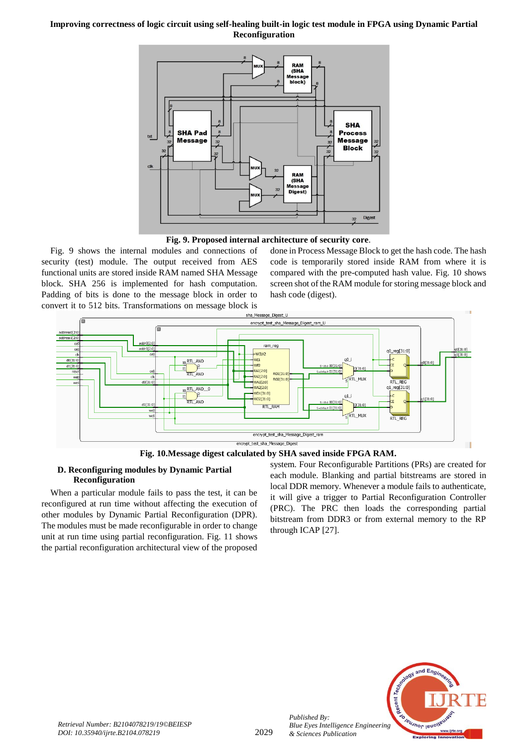



Fig. 9 shows the internal modules and connections of security (test) module. The output received from AES functional units are stored inside RAM named SHA Message block. SHA 256 is implemented for hash computation. Padding of bits is done to the message block in order to convert it to 512 bits. Transformations on message block is

done in Process Message Block to get the hash code. The hash code is temporarily stored inside RAM from where it is compared with the pre-computed hash value. Fig. 10 shows screen shot of the RAM module for storing message block and hash code (digest).



**Fig. 10.Message digest calculated by SHA saved inside FPGA RAM.**

#### **D. Reconfiguring modules by Dynamic Partial Reconfiguration**

When a particular module fails to pass the test, it can be reconfigured at run time without affecting the execution of other modules by Dynamic Partial Reconfiguration (DPR). The modules must be made reconfigurable in order to change unit at run time using partial reconfiguration. Fig. 11 shows the partial reconfiguration architectural view of the proposed

system. Four Reconfigurable Partitions (PRs) are created for each module. Blanking and partial bitstreams are stored in local DDR memory. Whenever a module fails to authenticate, it will give a trigger to Partial Reconfiguration Controller (PRC). The PRC then loads the corresponding partial bitstream from DDR3 or from external memory to the RP through ICAP [27].



*Published By:*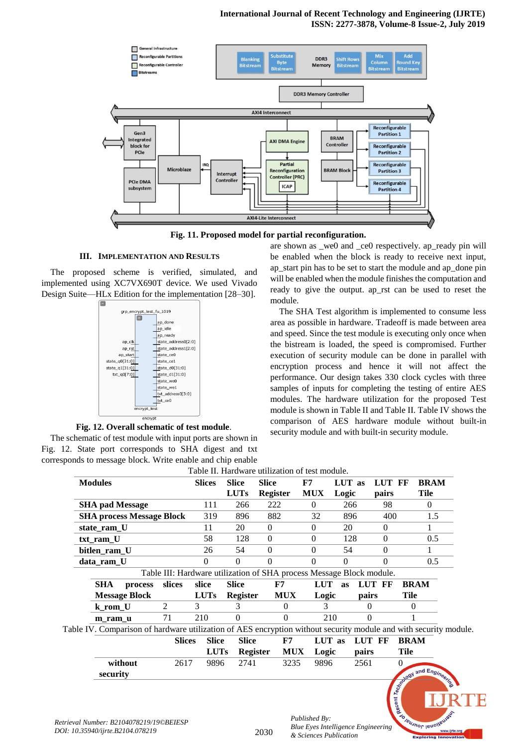

**Fig. 11. Proposed model for partial reconfiguration.**

## **III. IMPLEMENTATION AND RESULTS**

The proposed scheme is verified, simulated, and implemented using XC7VX690T device. We used Vivado Design Suite—HLx Edition for the implementation [28–30].



**Fig. 12. Overall schematic of test module**.

The schematic of test module with input ports are shown in Fig. 12. State port corresponds to SHA digest and txt corresponds to message block. Write enable and chip enable

are shown as \_we0 and \_ce0 respectively. ap\_ready pin will be enabled when the block is ready to receive next input, ap\_start pin has to be set to start the module and ap\_done pin will be enabled when the module finishes the computation and ready to give the output. ap\_rst can be used to reset the module.

The SHA Test algorithm is implemented to consume less area as possible in hardware. Tradeoff is made between area and speed. Since the test module is executing only once when the bistream is loaded, the speed is compromised. Further execution of security module can be done in parallel with encryption process and hence it will not affect the performance. Our design takes 330 clock cycles with three samples of inputs for completing the testing of entire AES modules. The hardware utilization for the proposed Test module is shown in Table II and Table II. Table IV shows the comparison of AES hardware module without built-in security module and with built-in security module.

|                                                                                                                  |                                                                      |               |                 | Table II. Hardware utilization of test module. |                                           |           |          |          |                                                    |
|------------------------------------------------------------------------------------------------------------------|----------------------------------------------------------------------|---------------|-----------------|------------------------------------------------|-------------------------------------------|-----------|----------|----------|----------------------------------------------------|
| <b>Modules</b>                                                                                                   |                                                                      | <b>Slices</b> | <b>Slice</b>    | <b>Slice</b>                                   | F7                                        | LUT as    |          | LUT FF   | <b>BRAM</b>                                        |
|                                                                                                                  |                                                                      |               | <b>LUTs</b>     | <b>Register</b>                                | <b>MUX</b>                                | Logic     |          | pairs    | <b>Tile</b>                                        |
| <b>SHA pad Message</b>                                                                                           |                                                                      | 111           | 266             | 222                                            | $\overline{0}$                            | 266       |          | 98       | $\Omega$                                           |
| <b>SHA process Message Block</b>                                                                                 |                                                                      | 319           | 896             | 882                                            | 32                                        | 896       |          | 400      | 1.5                                                |
| state_ram_U                                                                                                      |                                                                      | 11            | 20              | $\mathbf{0}$                                   | $\mathbf{0}$                              | 20        |          | $\Omega$ | 1                                                  |
| txt_ram_U                                                                                                        |                                                                      | 58            | 128             | $\Omega$                                       | $\mathbf{0}$                              | 128       |          | $\Omega$ | 0.5                                                |
| bitlen_ram_U                                                                                                     |                                                                      | 26            | 54              | $\mathbf{0}$                                   | $\mathbf{0}$                              | 54        |          | $\Omega$ |                                                    |
| data_ram_U                                                                                                       |                                                                      | 0             | $\Omega$        | $\Omega$                                       | 0                                         | $\theta$  |          | $\Omega$ | 0.5                                                |
|                                                                                                                  | Table III: Hardware utilization of SHA process Message Block module. |               |                 |                                                |                                           |           |          |          |                                                    |
| <b>SHA</b><br>process                                                                                            | slices                                                               | slice         | <b>Slice</b>    | F7                                             | <b>LUT</b>                                | <b>as</b> |          | LUT FF   | <b>BRAM</b>                                        |
| <b>Message Block</b>                                                                                             |                                                                      | <b>LUTs</b>   | <b>Register</b> | <b>MUX</b>                                     | Logic                                     |           | pairs    |          | Tile                                               |
| k_rom_U                                                                                                          | 2                                                                    | 3             | 3               | $\Omega$                                       | 3                                         |           | 0        |          | $\theta$                                           |
| m ram u                                                                                                          | 71                                                                   | 210           | $\Omega$        | 0                                              |                                           | 210       | $\theta$ |          |                                                    |
| Table IV. Comparison of hardware utilization of AES encryption without security module and with security module. |                                                                      |               |                 |                                                |                                           |           |          |          |                                                    |
|                                                                                                                  | <b>Slices</b>                                                        | <b>Slice</b>  | <b>Slice</b>    | ${\bf F7}$                                     |                                           | LUT as    | LUT FF   |          | <b>BRAM</b>                                        |
|                                                                                                                  |                                                                      | <b>LUTs</b>   | <b>Register</b> |                                                | <b>MUX</b><br>Logic                       |           | pairs    |          | <b>Tile</b>                                        |
| without                                                                                                          | 2617                                                                 | 9896          | 2741            | 3235                                           | 9896                                      |           | 2561     |          | $\theta$                                           |
| security                                                                                                         |                                                                      |               |                 |                                                |                                           |           |          |          |                                                    |
| trieval Number: B2104078219/19©BEIESP                                                                            |                                                                      |               |                 |                                                | Published By:                             |           |          |          | <b>Explored and Engineers</b><br>Teumor innotation |
|                                                                                                                  |                                                                      |               |                 |                                                | <b>Blue Eves Intelligence Engineering</b> |           |          |          |                                                    |

*Blue Eyes Intelligence Engineering*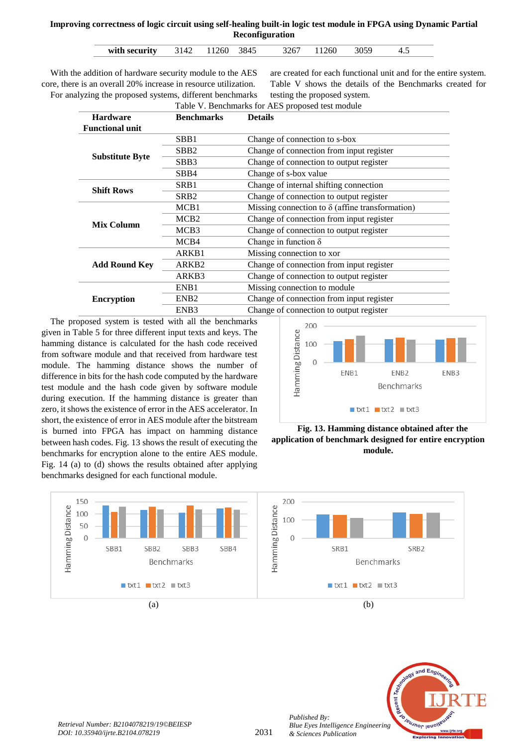| with security | 3142 | 11260 | -3845 | 3267 | 11260 |  | 4.5 |
|---------------|------|-------|-------|------|-------|--|-----|
|---------------|------|-------|-------|------|-------|--|-----|

With the addition of hardware security module to the AES core, there is an overall 20% increase in resource utilization. For analyzing the proposed systems, different benchmarks

are created for each functional unit and for the entire system. Table V shows the details of the Benchmarks created for testing the proposed system. Table V. Benchmarks for AES proposed test module

| $\ldots$               |                   |                                                        |  |  |  |  |
|------------------------|-------------------|--------------------------------------------------------|--|--|--|--|
| <b>Hardware</b>        | <b>Benchmarks</b> | <b>Details</b>                                         |  |  |  |  |
| <b>Functional unit</b> |                   |                                                        |  |  |  |  |
|                        | SBB1              | Change of connection to s-box                          |  |  |  |  |
|                        | SBB <sub>2</sub>  | Change of connection from input register               |  |  |  |  |
| <b>Substitute Byte</b> | SBB3              | Change of connection to output register                |  |  |  |  |
|                        | SB <sub>B4</sub>  | Change of s-box value                                  |  |  |  |  |
|                        | SRB1              | Change of internal shifting connection                 |  |  |  |  |
| <b>Shift Rows</b>      | SRB <sub>2</sub>  | Change of connection to output register                |  |  |  |  |
|                        | MCB1              | Missing connection to $\delta$ (affine transformation) |  |  |  |  |
|                        | MCB <sub>2</sub>  | Change of connection from input register               |  |  |  |  |
| <b>Mix Column</b>      | MCB <sub>3</sub>  | Change of connection to output register                |  |  |  |  |
|                        | MCB4              | Change in function $\delta$                            |  |  |  |  |
|                        | ARKB1             | Missing connection to xor                              |  |  |  |  |
| <b>Add Round Key</b>   | ARKB <sub>2</sub> | Change of connection from input register               |  |  |  |  |
|                        | ARKB3             | Change of connection to output register                |  |  |  |  |
|                        | ENB1              | Missing connection to module                           |  |  |  |  |
| <b>Encryption</b>      | ENB <sub>2</sub>  | Change of connection from input register               |  |  |  |  |
|                        | ENB <sub>3</sub>  | Change of connection to output register                |  |  |  |  |
|                        |                   |                                                        |  |  |  |  |

The proposed system is tested with all the benchmarks given in Table 5 for three different input texts and keys. The hamming distance is calculated for the hash code received from software module and that received from hardware test module. The hamming distance shows the number of difference in bits for the hash code computed by the hardware test module and the hash code given by software module during execution. If the hamming distance is greater than zero, it shows the existence of error in the AES accelerator. In short, the existence of error in AES module after the bitstream is burned into FPGA has impact on hamming distance between hash codes. Fig. 13 shows the result of executing the benchmarks for encryption alone to the entire AES module. Fig. 14 (a) to (d) shows the results obtained after applying benchmarks designed for each functional module.







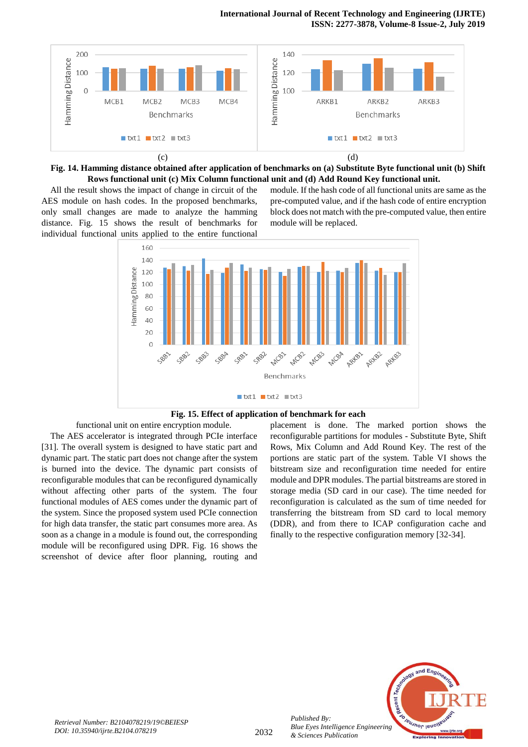#### **International Journal of Recent Technology and Engineering (IJRTE) ISSN: 2277-3878, Volume-8 Issue-2, July 2019**





All the result shows the impact of change in circuit of the AES module on hash codes. In the proposed benchmarks, only small changes are made to analyze the hamming distance. Fig. 15 shows the result of benchmarks for individual functional units applied to the entire functional module. If the hash code of all functional units are same as the pre-computed value, and if the hash code of entire encryption block does not match with the pre-computed value, then entire module will be replaced.





functional unit on entire encryption module. The AES accelerator is integrated through PCIe interface [31]. The overall system is designed to have static part and dynamic part. The static part does not change after the system is burned into the device. The dynamic part consists of reconfigurable modules that can be reconfigured dynamically without affecting other parts of the system. The four functional modules of AES comes under the dynamic part of the system. Since the proposed system used PCIe connection for high data transfer, the static part consumes more area. As soon as a change in a module is found out, the corresponding module will be reconfigured using DPR. Fig. 16 shows the screenshot of device after floor planning, routing and

placement is done. The marked portion shows the reconfigurable partitions for modules - Substitute Byte, Shift Rows, Mix Column and Add Round Key. The rest of the portions are static part of the system. Table VI shows the bitstream size and reconfiguration time needed for entire module and DPR modules. The partial bitstreams are stored in storage media (SD card in our case). The time needed for reconfiguration is calculated as the sum of time needed for transferring the bitstream from SD card to local memory (DDR), and from there to ICAP configuration cache and finally to the respective configuration memory [32-34].



*Published By:*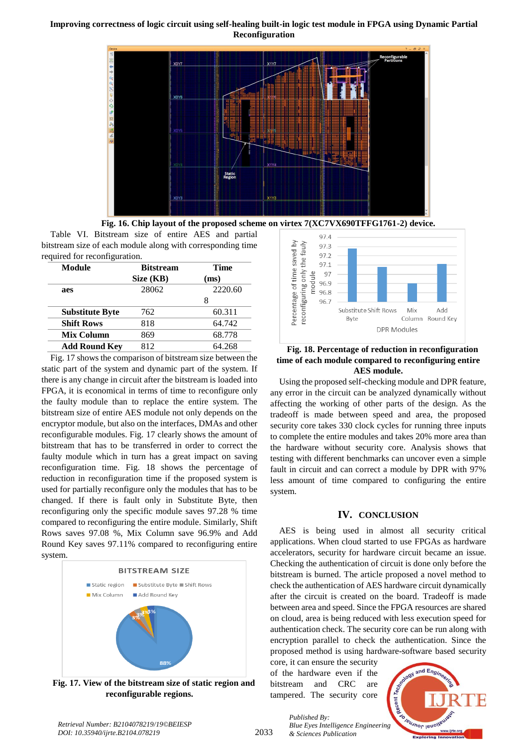



Table VI. Bitstream size of entire AES and partial bitstream size of each module along with corresponding time required for reconfiguration.

| <b>Bitstream</b> | <b>Time</b> |  |  |
|------------------|-------------|--|--|
| Size (KB)        | (ms)        |  |  |
| 28062            | 2220.60     |  |  |
|                  |             |  |  |
| 762              | 60.311      |  |  |
| 818              | 64.742      |  |  |
| 869              | 68.778      |  |  |
| 812              | 64.268      |  |  |
|                  |             |  |  |

Fig. 17 shows the comparison of bitstream size between the static part of the system and dynamic part of the system. If there is any change in circuit after the bitstream is loaded into FPGA, it is economical in terms of time to reconfigure only the faulty module than to replace the entire system. The bitstream size of entire AES module not only depends on the encryptor module, but also on the interfaces, DMAs and other reconfigurable modules. Fig. 17 clearly shows the amount of bitstream that has to be transferred in order to correct the faulty module which in turn has a great impact on saving reconfiguration time. Fig. 18 shows the percentage of reduction in reconfiguration time if the proposed system is used for partially reconfigure only the modules that has to be changed. If there is fault only in Substitute Byte, then reconfiguring only the specific module saves 97.28 % time compared to reconfiguring the entire module. Similarly, Shift Rows saves 97.08 %, Mix Column save 96.9% and Add Round Key saves 97.11% compared to reconfiguring entire system.



**Fig. 17. View of the bitstream size of static region and reconfigurable regions.**



**Fig. 18. Percentage of reduction in reconfiguration time of each module compared to reconfiguring entire AES module.**

Using the proposed self-checking module and DPR feature, any error in the circuit can be analyzed dynamically without affecting the working of other parts of the design. As the tradeoff is made between speed and area, the proposed security core takes 330 clock cycles for running three inputs to complete the entire modules and takes 20% more area than the hardware without security core. Analysis shows that testing with different benchmarks can uncover even a simple fault in circuit and can correct a module by DPR with 97% less amount of time compared to configuring the entire system.

## **IV. CONCLUSION**

AES is being used in almost all security critical applications. When cloud started to use FPGAs as hardware accelerators, security for hardware circuit became an issue. Checking the authentication of circuit is done only before the bitstream is burned. The article proposed a novel method to check the authentication of AES hardware circuit dynamically after the circuit is created on the board. Tradeoff is made between area and speed. Since the FPGA resources are shared on cloud, area is being reduced with less execution speed for authentication check. The security core can be run along with encryption parallel to check the authentication. Since the proposed method is using hardware-software based security

core, it can ensure the security of the hardware even if the bitstream and CRC are tampered. The security core

*& Sciences Publication* 

*Published By:*